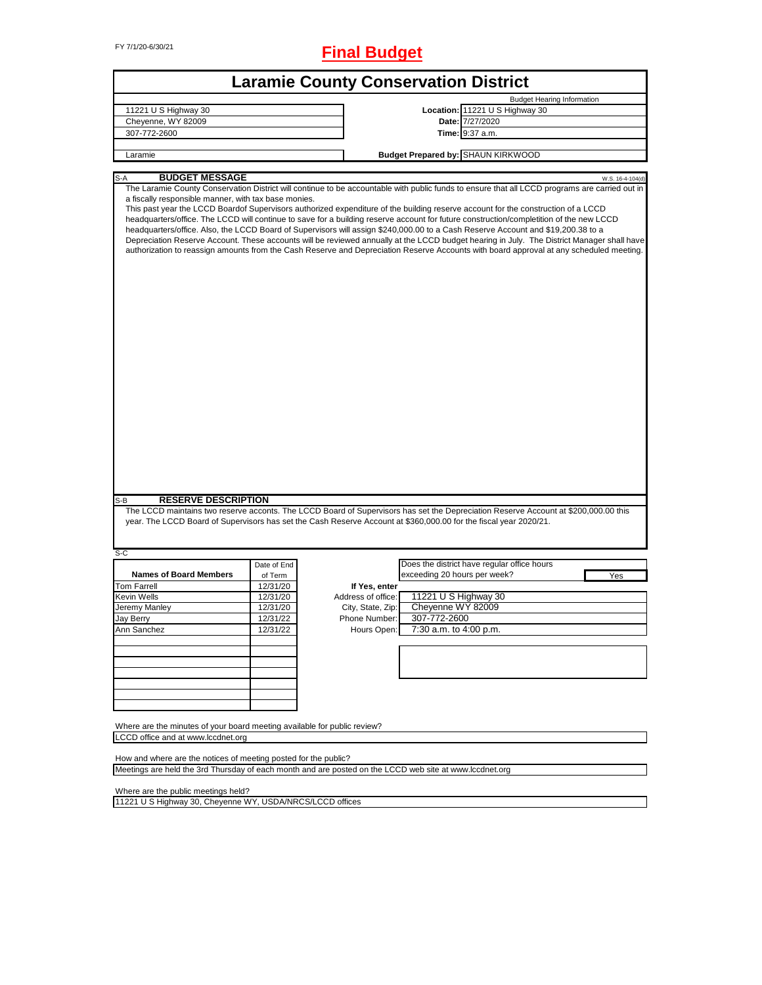FY 7/1/20-6/30/21 **Final Budget**

|                                                                                      |             | <b>Laramie County Conservation District</b>                                                                                                                                                                                                                                                                                                                                                                                                                                                                                                                                                                                                                                                                                                                                                                                                                                    |
|--------------------------------------------------------------------------------------|-------------|--------------------------------------------------------------------------------------------------------------------------------------------------------------------------------------------------------------------------------------------------------------------------------------------------------------------------------------------------------------------------------------------------------------------------------------------------------------------------------------------------------------------------------------------------------------------------------------------------------------------------------------------------------------------------------------------------------------------------------------------------------------------------------------------------------------------------------------------------------------------------------|
|                                                                                      |             | <b>Budget Hearing Information</b>                                                                                                                                                                                                                                                                                                                                                                                                                                                                                                                                                                                                                                                                                                                                                                                                                                              |
| 11221 U S Highway 30                                                                 |             | Location: 11221 U S Highway 30                                                                                                                                                                                                                                                                                                                                                                                                                                                                                                                                                                                                                                                                                                                                                                                                                                                 |
| Cheyenne, WY 82009                                                                   |             | Date: 7/27/2020                                                                                                                                                                                                                                                                                                                                                                                                                                                                                                                                                                                                                                                                                                                                                                                                                                                                |
| 307-772-2600                                                                         |             | <b>Time: 9:37 a.m.</b>                                                                                                                                                                                                                                                                                                                                                                                                                                                                                                                                                                                                                                                                                                                                                                                                                                                         |
| Laramie                                                                              |             | <b>Budget Prepared by: SHAUN KIRKWOOD</b>                                                                                                                                                                                                                                                                                                                                                                                                                                                                                                                                                                                                                                                                                                                                                                                                                                      |
|                                                                                      |             |                                                                                                                                                                                                                                                                                                                                                                                                                                                                                                                                                                                                                                                                                                                                                                                                                                                                                |
| <b>BUDGET MESSAGE</b><br>S-A<br>a fiscally responsible manner, with tax base monies. |             | W.S. 16-4-104(d<br>The Laramie County Conservation District will continue to be accountable with public funds to ensure that all LCCD programs are carried out in<br>This past year the LCCD Boardof Supervisors authorized expenditure of the building reserve account for the construction of a LCCD<br>headquarters/office. The LCCD will continue to save for a building reserve account for future construction/completition of the new LCCD<br>headquarters/office. Also, the LCCD Board of Supervisors will assign \$240,000.00 to a Cash Reserve Account and \$19,200.38 to a<br>Depreciation Reserve Account. These accounts will be reviewed annually at the LCCD budget hearing in July. The District Manager shall have<br>authorization to reassign amounts from the Cash Reserve and Depreciation Reserve Accounts with board approval at any scheduled meeting. |
| <b>RESERVE DESCRIPTION</b><br>S-B                                                    |             |                                                                                                                                                                                                                                                                                                                                                                                                                                                                                                                                                                                                                                                                                                                                                                                                                                                                                |
|                                                                                      |             | The LCCD maintains two reserve acconts. The LCCD Board of Supervisors has set the Depreciation Reserve Account at \$200,000.00 this<br>year. The LCCD Board of Supervisors has set the Cash Reserve Account at \$360,000.00 for the fiscal year 2020/21.                                                                                                                                                                                                                                                                                                                                                                                                                                                                                                                                                                                                                       |
| S-C                                                                                  | Date of End | Does the district have regular office hours                                                                                                                                                                                                                                                                                                                                                                                                                                                                                                                                                                                                                                                                                                                                                                                                                                    |
| <b>Names of Board Members</b>                                                        | of Term     | exceeding 20 hours per week?<br>Yes                                                                                                                                                                                                                                                                                                                                                                                                                                                                                                                                                                                                                                                                                                                                                                                                                                            |
| <b>Tom Farrell</b>                                                                   | 12/31/20    | If Yes, enter                                                                                                                                                                                                                                                                                                                                                                                                                                                                                                                                                                                                                                                                                                                                                                                                                                                                  |
| Kevin Wells                                                                          | 12/31/20    | 11221 U S Highway 30<br>Address of office:                                                                                                                                                                                                                                                                                                                                                                                                                                                                                                                                                                                                                                                                                                                                                                                                                                     |
| Jeremy Manley                                                                        | 12/31/20    | Cheyenne WY 82009<br>City, State, Zip:                                                                                                                                                                                                                                                                                                                                                                                                                                                                                                                                                                                                                                                                                                                                                                                                                                         |
| Jay Berry                                                                            | 12/31/22    | 307-772-2600<br>Phone Number:                                                                                                                                                                                                                                                                                                                                                                                                                                                                                                                                                                                                                                                                                                                                                                                                                                                  |
| Ann Sanchez                                                                          | 12/31/22    | 7:30 a.m. to 4:00 p.m.<br>Hours Open:                                                                                                                                                                                                                                                                                                                                                                                                                                                                                                                                                                                                                                                                                                                                                                                                                                          |
|                                                                                      |             |                                                                                                                                                                                                                                                                                                                                                                                                                                                                                                                                                                                                                                                                                                                                                                                                                                                                                |
|                                                                                      |             |                                                                                                                                                                                                                                                                                                                                                                                                                                                                                                                                                                                                                                                                                                                                                                                                                                                                                |
|                                                                                      |             |                                                                                                                                                                                                                                                                                                                                                                                                                                                                                                                                                                                                                                                                                                                                                                                                                                                                                |
|                                                                                      |             |                                                                                                                                                                                                                                                                                                                                                                                                                                                                                                                                                                                                                                                                                                                                                                                                                                                                                |
| Where are the minutes of your board meeting available for public review?             |             |                                                                                                                                                                                                                                                                                                                                                                                                                                                                                                                                                                                                                                                                                                                                                                                                                                                                                |
| LCCD office and at www.lccdnet.org                                                   |             |                                                                                                                                                                                                                                                                                                                                                                                                                                                                                                                                                                                                                                                                                                                                                                                                                                                                                |
| How and where are the notices of meeting posted for the public?                      |             | Meetings are held the 3rd Thursday of each month and are posted on the LCCD web site at www.lccdnet.org                                                                                                                                                                                                                                                                                                                                                                                                                                                                                                                                                                                                                                                                                                                                                                        |

Where are the public meetings held?

11221 U S Highway 30, Cheyenne WY, USDA/NRCS/LCCD offices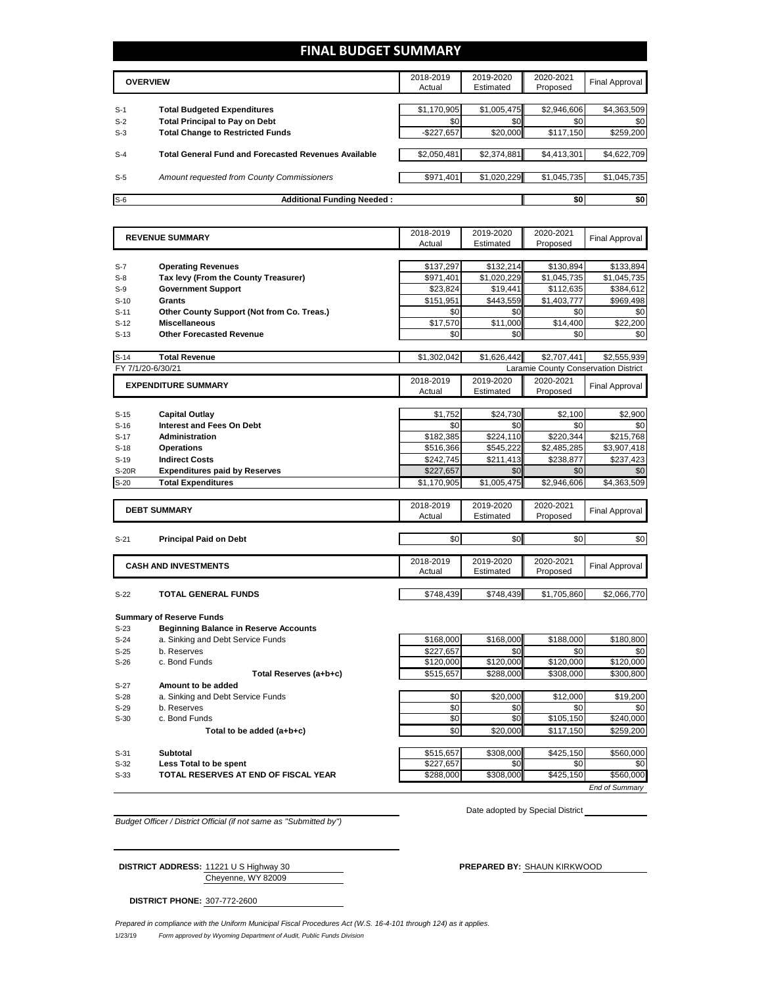## **FINAL BUDGET SUMMARY**

|       | <b>OVERVIEW</b>                                             | 2018-2019<br>Actual | 2019-2020<br>Estimated | 2020-2021<br>Proposed | Final Approval |
|-------|-------------------------------------------------------------|---------------------|------------------------|-----------------------|----------------|
|       |                                                             |                     |                        |                       |                |
| $S-1$ | <b>Total Budgeted Expenditures</b>                          | \$1,170,905         | \$1,005,475            | \$2,946,606           | \$4,363,509    |
| $S-2$ | <b>Total Principal to Pay on Debt</b>                       | \$0                 | \$0                    | \$0                   | \$0            |
| $S-3$ | <b>Total Change to Restricted Funds</b>                     | $-$227,657$         | \$20,000               | \$117,150             | \$259,200      |
|       |                                                             |                     |                        |                       |                |
| $S-4$ | <b>Total General Fund and Forecasted Revenues Available</b> | \$2.050.481         | \$2,374,881            | \$4.413.301           | \$4,622,709    |
|       |                                                             |                     |                        |                       |                |
| $S-5$ | Amount requested from County Commissioners                  | \$971,401           | \$1,020,229            | \$1,045,735           | \$1,045,735    |
|       |                                                             |                     |                        |                       |                |
| $S-6$ | <b>Additional Funding Needed:</b>                           |                     |                        | \$0                   | \$0            |

|                  | <b>REVENUE SUMMARY</b>                       | 2018-2019<br>Actual    | 2019-2020<br>Estimated | 2020-2021<br>Proposed                | <b>Final Approval</b> |
|------------------|----------------------------------------------|------------------------|------------------------|--------------------------------------|-----------------------|
|                  |                                              |                        |                        |                                      |                       |
| $S-7$            | <b>Operating Revenues</b>                    | \$137,297              | \$132,214              | \$130,894                            | \$133,894             |
| $S-8$            | Tax levy (From the County Treasurer)         | \$971,401              | \$1,020,229            | \$1,045,735                          | \$1,045,735           |
| $S-9$            | <b>Government Support</b>                    | \$23,824               | \$19,441               | \$112,635                            | \$384,612             |
| $S-10$           | Grants                                       | \$151,951              | \$443,559              | \$1,403,777                          | \$969,498             |
| $S-11$           | Other County Support (Not from Co. Treas.)   | \$0                    | \$0                    | \$0                                  | \$0                   |
| $S-12$           | <b>Miscellaneous</b>                         | \$17,570               | \$11.000               | \$14,400                             | \$22,200              |
| $S-13$           | <b>Other Forecasted Revenue</b>              | \$0                    | \$0                    | \$0                                  | \$0                   |
| $S-14$           | <b>Total Revenue</b>                         | \$1,302,042            | \$1,626,442            | \$2.707.441                          | \$2,555,939           |
|                  | FY 7/1/20-6/30/21                            |                        |                        | Laramie County Conservation District |                       |
|                  | <b>EXPENDITURE SUMMARY</b>                   | 2018-2019              | 2019-2020              | 2020-2021                            | <b>Final Approval</b> |
|                  |                                              | Actual                 | Estimated              | Proposed                             |                       |
| $S-15$           | <b>Capital Outlay</b>                        | \$1,752                | \$24,730               | \$2,100                              | \$2,900               |
| $S-16$           | <b>Interest and Fees On Debt</b>             | \$0                    | \$0                    | \$0                                  | \$0                   |
| $S-17$           | <b>Administration</b>                        | \$182,385              | \$224,110              | \$220,344                            | \$215,768             |
| $S-18$           | <b>Operations</b>                            | \$516,366              | \$545,222              | \$2,485,285                          | \$3,907,418           |
| $S-19$           | <b>Indirect Costs</b>                        | \$242,745              | \$211,413              | \$238,877                            | \$237,423             |
| <b>S-20R</b>     | <b>Expenditures paid by Reserves</b>         | \$227,657              | \$0                    | \$0                                  | \$0                   |
| $S-20$           | <b>Total Expenditures</b>                    | \$1,170,905            | \$1,005,475            | \$2,946,606                          | \$4,363,509           |
|                  |                                              |                        |                        |                                      |                       |
|                  | <b>DEBT SUMMARY</b>                          | 2018-2019<br>Actual    | 2019-2020<br>Estimated | 2020-2021<br>Proposed                | <b>Final Approval</b> |
|                  |                                              |                        | \$0                    | \$0                                  |                       |
| $S-21$           | <b>Principal Paid on Debt</b>                | \$0                    |                        |                                      | \$0                   |
|                  | <b>CASH AND INVESTMENTS</b>                  | 2018-2019              | 2019-2020              | 2020-2021                            | <b>Final Approval</b> |
|                  |                                              | Actual                 | Estimated              | Proposed                             |                       |
| $S-22$           | <b>TOTAL GENERAL FUNDS</b>                   | \$748,439              | \$748,439              | \$1,705,860                          | \$2,066,770           |
|                  |                                              |                        |                        |                                      |                       |
|                  | <b>Summary of Reserve Funds</b>              |                        |                        |                                      |                       |
| $S-23$           | <b>Beginning Balance in Reserve Accounts</b> |                        |                        |                                      |                       |
| $S-24$           | a. Sinking and Debt Service Funds            | \$168,000              | \$168,000              | \$188,000                            | \$180,800             |
| $S-25$<br>$S-26$ | b. Reserves<br>c. Bond Funds                 | \$227,657<br>\$120,000 | \$0<br>\$120,000       | \$0<br>\$120,000                     | \$0<br>\$120,000      |
|                  | Total Reserves (a+b+c)                       | \$515,657              | \$288,000              | \$308,000                            | \$300,800             |
| $S-27$           | Amount to be added                           |                        |                        |                                      |                       |
| $S-28$           | a. Sinking and Debt Service Funds            | \$0                    | \$20,000               | \$12,000                             | \$19,200              |
| $S-29$           | b. Reserves                                  | \$0                    | \$0                    | \$0                                  | \$0                   |
| $S-30$           | c. Bond Funds                                | \$0                    | \$0                    | \$105,150                            | \$240,000             |
|                  | Total to be added (a+b+c)                    | \$0                    | \$20,000               | \$117,150                            | \$259,200             |
|                  |                                              |                        |                        |                                      |                       |
| $S-31$           | <b>Subtotal</b>                              | \$515,657              | \$308,000              | \$425,150                            | \$560,000             |

S-32 **Less Total to be spent** \$227,657 \$0 \$0 \$0 \$0 S-33 **TOTAL RESERVES AT END OF FISCAL YEAR**  $\sqrt{3288,000}$  \$308,000 \$425,150 \$560,000 *End of Summary*

*Budget Officer / District Official (if not same as "Submitted by")*

Date adopted by Special District

Cheyenne, WY 82009 **DISTRICT ADDRESS:** 11221 U S Highway 30 **PREPARED BY:** SHAUN KIRKWOOD

**DISTRICT PHONE:** 307-772-2600

1/23/19 *Form approved by Wyoming Department of Audit, Public Funds Division Prepared in compliance with the Uniform Municipal Fiscal Procedures Act (W.S. 16-4-101 through 124) as it applies.*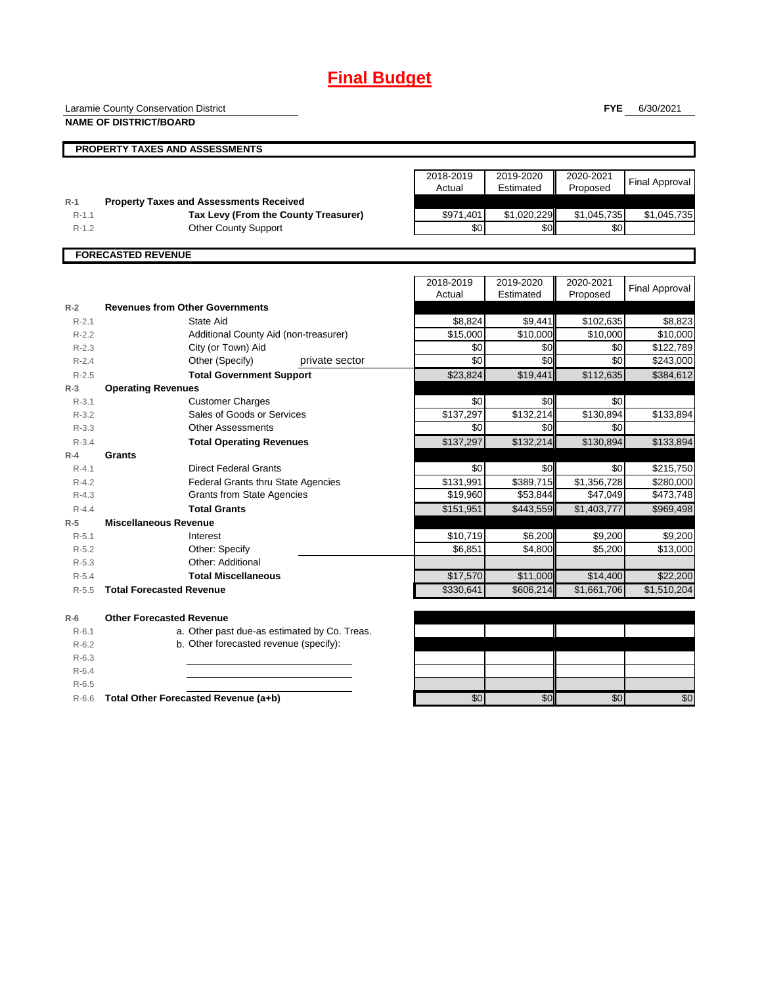# **Final Budget**

Laramie County Conservation District

**NAME OF DISTRICT/BOARD**

**FYE** 6/30/2021

٦

|                           | <b>PROPERTY TAXES AND ASSESSMENTS</b>          |           |             |             |                       |  |
|---------------------------|------------------------------------------------|-----------|-------------|-------------|-----------------------|--|
|                           |                                                |           |             |             |                       |  |
|                           |                                                | 2018-2019 | 2019-2020   | 2020-2021   | <b>Final Approval</b> |  |
|                           |                                                | Actual    | Estimated   | Proposed    |                       |  |
| $R-1$                     | <b>Property Taxes and Assessments Received</b> |           |             |             |                       |  |
| $R-1.1$                   | Tax Levy (From the County Treasurer)           | \$971,401 | \$1,020,229 | \$1,045,735 | \$1,045,735           |  |
| $R-1.2$                   | <b>Other County Support</b>                    | \$0       | \$0         | \$0         |                       |  |
|                           |                                                |           |             |             |                       |  |
| <b>FORECASTED REVENUE</b> |                                                |           |             |             |                       |  |

|           |                                              | 2018-2019 | 2019-2020 | 2020-2021              | Final Approval |
|-----------|----------------------------------------------|-----------|-----------|------------------------|----------------|
|           |                                              | Actual    | Estimated | Proposed               |                |
| $R-2$     | <b>Revenues from Other Governments</b>       |           |           |                        |                |
| $R - 2.1$ | State Aid                                    | \$8,824   | \$9,441   | \$102,635              | \$8,823        |
| $R-2.2$   | Additional County Aid (non-treasurer)        | \$15,000  | \$10,000  | \$10,000               | \$10,000       |
| $R-2.3$   | City (or Town) Aid                           | \$0       | \$0       | \$0                    | \$122,789      |
| $R - 2.4$ | Other (Specify)<br>private sector            | \$0       | \$0       | \$0                    | \$243,000      |
| $R - 2.5$ | <b>Total Government Support</b>              | \$23,824  | \$19,441  | \$112,635              | \$384,612      |
| $R-3$     | <b>Operating Revenues</b>                    |           |           |                        |                |
| $R - 3.1$ | <b>Customer Charges</b>                      | \$0       | \$0       | \$0                    |                |
| $R - 3.2$ | Sales of Goods or Services                   | \$137,297 | \$132,214 | \$130,894              | \$133,894      |
| $R - 3.3$ | <b>Other Assessments</b>                     | \$0       | \$0       | \$0                    |                |
| $R - 3.4$ | <b>Total Operating Revenues</b>              | \$137,297 | \$132,214 | \$130,894              | \$133,894      |
| $R-4$     | Grants                                       |           |           |                        |                |
| $R - 4.1$ | <b>Direct Federal Grants</b>                 | \$0       | \$0       | \$0                    | \$215,750      |
| $R - 4.2$ | <b>Federal Grants thru State Agencies</b>    | \$131,991 | \$389,715 | \$1,356,728            | \$280,000      |
| $R-4.3$   | <b>Grants from State Agencies</b>            | \$19,960  | \$53,844  | \$47,049               | \$473,748      |
| $R - 4.4$ | <b>Total Grants</b>                          | \$151,951 | \$443,559 | $\overline{1,}403,777$ | \$969,498      |
| $R-5$     | <b>Miscellaneous Revenue</b>                 |           |           |                        |                |
| $R - 5.1$ | Interest                                     | \$10,719  | \$6,200   | \$9,200                | \$9,200        |
| $R-5.2$   | Other: Specify                               | \$6,851   | \$4,800   | \$5,200                | \$13,000       |
| $R - 5.3$ | Other: Additional                            |           |           |                        |                |
| $R - 5.4$ | <b>Total Miscellaneous</b>                   | \$17,570  | \$11,000  | \$14,400               | \$22,200       |
| $R - 5.5$ | <b>Total Forecasted Revenue</b>              | \$330,641 | \$606,214 | \$1,661,706            | \$1,510,204    |
| $R-6$     | <b>Other Forecasted Revenue</b>              |           |           |                        |                |
| $R-6.1$   | a. Other past due-as estimated by Co. Treas. |           |           |                        |                |
| $R-6.2$   | b. Other forecasted revenue (specify):       |           |           |                        |                |
| $R - 6.3$ |                                              |           |           |                        |                |
| $R-6.4$   |                                              |           |           |                        |                |
| $R-6.5$   |                                              |           |           |                        |                |
| $R-6.6$   | Total Other Forecasted Revenue (a+b)         | \$0       | \$0       | \$0                    | $\sqrt{6}$     |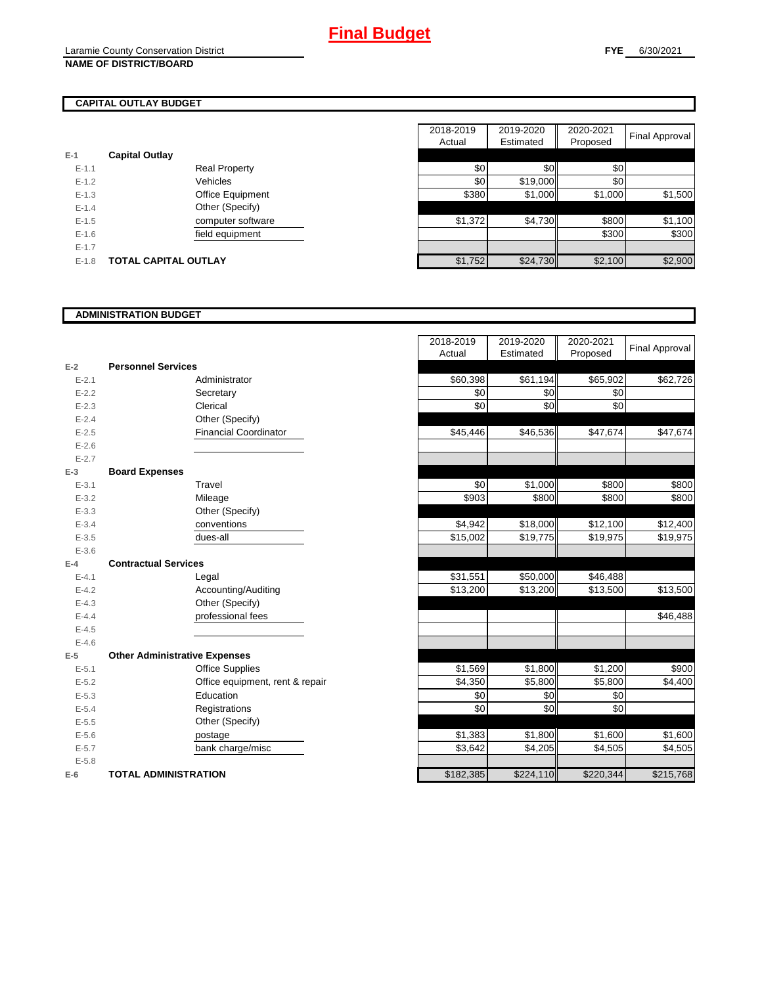## **CAPITAL OUTLAY BUDGET**

| $E-1$     | <b>Capital Outlay</b> |                         |
|-----------|-----------------------|-------------------------|
| $E - 1.1$ |                       | <b>Real Property</b>    |
| $F-12$    |                       | Vehicles                |
| $F-1.3$   |                       | <b>Office Equipment</b> |
| $F-14$    |                       | Other (Specify)         |
| $E - 1.5$ |                       | computer software       |
| $F-16$    |                       | field equipment         |
| $F-17$    |                       |                         |
| $E - 1.8$ | TOTAL CAPITAL OUTLAY  |                         |

|           |                             |                      | 2018-2019 | 2019-2020 | 2020-2021 |                |
|-----------|-----------------------------|----------------------|-----------|-----------|-----------|----------------|
|           |                             |                      | Actual    | Estimated | Proposed  | Final Approval |
|           | <b>Capital Outlay</b>       |                      |           |           |           |                |
| $E - 1.1$ |                             | <b>Real Property</b> | \$0       | \$0       | \$0       |                |
| $E - 1.2$ |                             | Vehicles             | \$0       | \$19,000  | \$0       |                |
| $E-1.3$   |                             | Office Equipment     | \$380     | \$1,000   | \$1,000   | \$1,500        |
| $E - 1.4$ |                             | Other (Specify)      |           |           |           |                |
| $E-1.5$   |                             | computer software    | \$1,372   | \$4,730   | \$800     | \$1,100        |
| $E-1.6$   |                             | field equipment      |           |           | \$300     | \$300          |
| $E - 1.7$ |                             |                      |           |           |           |                |
| $E-1.8$   | <b>TOTAL CAPITAL OUTLAY</b> |                      | \$1,752   | \$24,730  | \$2,100   | \$2,900        |

### **ADMINISTRATION BUDGET**

|           |                                      |                                 |           | $-0.00000$ | $1.0$ pood $4.0$ |
|-----------|--------------------------------------|---------------------------------|-----------|------------|------------------|
| $E-2$     | <b>Personnel Services</b>            |                                 |           |            |                  |
| $E - 2.1$ |                                      | Administrator                   | \$60,398  | \$61,194   | \$65,902         |
| $E-2.2$   |                                      | Secretary                       | \$0       | \$0        | \$0              |
| $E - 2.3$ |                                      | Clerical                        | \$0       | \$0        | \$0              |
| $E - 2.4$ |                                      | Other (Specify)                 |           |            |                  |
| $E-2.5$   |                                      | <b>Financial Coordinator</b>    | \$45,446  | \$46,536   | \$47,674         |
| $E-2.6$   |                                      |                                 |           |            |                  |
| $E - 2.7$ |                                      |                                 |           |            |                  |
| $E-3$     | <b>Board Expenses</b>                |                                 |           |            |                  |
| $E - 3.1$ |                                      | Travel                          | \$0       | \$1,000    | \$800            |
| $E - 3.2$ |                                      | Mileage                         | \$903     | \$800      | \$800            |
| $E - 3.3$ |                                      | Other (Specify)                 |           |            |                  |
| $E - 3.4$ |                                      | conventions                     | \$4,942   | \$18,000   | \$12,100         |
| $E - 3.5$ |                                      | dues-all                        | \$15,002  | \$19,775   | \$19,975         |
| $E - 3.6$ |                                      |                                 |           |            |                  |
| $E-4$     | <b>Contractual Services</b>          |                                 |           |            |                  |
| $E - 4.1$ |                                      | Legal                           | \$31,551  | \$50,000   | \$46,488         |
| $E - 4.2$ |                                      | Accounting/Auditing             | \$13,200  | \$13,200   | \$13,500         |
| $E - 4.3$ |                                      | Other (Specify)                 |           |            |                  |
| $E-4.4$   |                                      | professional fees               |           |            |                  |
| $E - 4.5$ |                                      |                                 |           |            |                  |
| $E-4.6$   |                                      |                                 |           |            |                  |
| $E-5$     | <b>Other Administrative Expenses</b> |                                 |           |            |                  |
| $E - 5.1$ |                                      | <b>Office Supplies</b>          | \$1,569   | \$1,800    | \$1,200          |
| $E - 5.2$ |                                      | Office equipment, rent & repair | \$4,350   | \$5,800    | \$5,800          |
| $E-5.3$   |                                      | Education                       | \$0       | \$0        | \$0              |
| $E - 5.4$ |                                      | Registrations                   | \$0       | \$0        | \$0              |
| $E-5.5$   |                                      | Other (Specify)                 |           |            |                  |
| $E-5.6$   |                                      | postage                         | \$1,383   | \$1,800    | \$1,600          |
| $E - 5.7$ |                                      | bank charge/misc                | \$3,642   | \$4,205    | \$4,505          |
| $E - 5.8$ |                                      |                                 |           |            |                  |
| $E-6$     | <b>TOTAL ADMINISTRATION</b>          |                                 | \$182,385 | \$224,110  | \$220,344        |

|           |                                      | 2018-2019 | 2019-2020 | 2020-2021 | <b>Final Approval</b> |
|-----------|--------------------------------------|-----------|-----------|-----------|-----------------------|
|           |                                      | Actual    | Estimated | Proposed  |                       |
| Ż         | <b>Personnel Services</b>            |           |           |           |                       |
| $E - 2.1$ | Administrator                        | \$60,398  | \$61,194  | \$65,902  | \$62,726              |
| $E - 2.2$ | Secretary                            | \$0       | \$0       | \$0       |                       |
| $E - 2.3$ | Clerical                             | \$0       | \$0       | \$0       |                       |
| $E - 2.4$ | Other (Specify)                      |           |           |           |                       |
| $E - 2.5$ | <b>Financial Coordinator</b>         | \$45,446  | \$46,536  | \$47,674  | \$47,674              |
| $E - 2.6$ |                                      |           |           |           |                       |
| $E - 2.7$ |                                      |           |           |           |                       |
| 3         | <b>Board Expenses</b>                |           |           |           |                       |
| $E - 3.1$ | Travel                               | \$0       | \$1,000   | \$800     | \$800                 |
| $E - 3.2$ | Mileage                              | \$903     | \$800     | \$800     | \$800                 |
| $E - 3.3$ | Other (Specify)                      |           |           |           |                       |
| $E - 3.4$ | conventions                          | \$4,942   | \$18,000  | \$12,100  | \$12,400              |
| $E - 3.5$ | dues-all                             | \$15,002  | \$19,775  | \$19,975  | \$19,975              |
| $E - 3.6$ |                                      |           |           |           |                       |
| ı.        | <b>Contractual Services</b>          |           |           |           |                       |
| $E - 4.1$ | Legal                                | \$31,551  | \$50,000  | \$46,488  |                       |
| $E - 4.2$ | Accounting/Auditing                  | \$13,200  | \$13,200  | \$13,500  | \$13,500              |
| $E - 4.3$ | Other (Specify)                      |           |           |           |                       |
| $E - 4.4$ | professional fees                    |           |           |           | \$46,488              |
| $E-4.5$   |                                      |           |           |           |                       |
| $E - 4.6$ |                                      |           |           |           |                       |
| 5         | <b>Other Administrative Expenses</b> |           |           |           |                       |
| $E - 5.1$ | <b>Office Supplies</b>               | \$1,569   | \$1,800   | \$1,200   | \$900                 |
| $E - 5.2$ | Office equipment, rent & repair      | \$4,350   | \$5,800   | \$5,800   | \$4,400               |
| $E - 5.3$ | Education                            | \$0       | \$0       | \$0       |                       |
| $E - 5.4$ | Registrations                        | \$0       | \$0       | \$0       |                       |
| $E - 5.5$ | Other (Specify)                      |           |           |           |                       |
| $E - 5.6$ | postage                              | \$1,383   | \$1,800   | \$1,600   | \$1,600               |
| $E - 5.7$ | bank charge/misc                     | \$3,642   | \$4,205   | \$4,505   | \$4,505               |
| $E - 5.8$ |                                      |           |           |           |                       |
| ì         | <b>TOTAL ADMINISTRATION</b>          | \$182,385 | \$224,110 | \$220,344 | \$215,768             |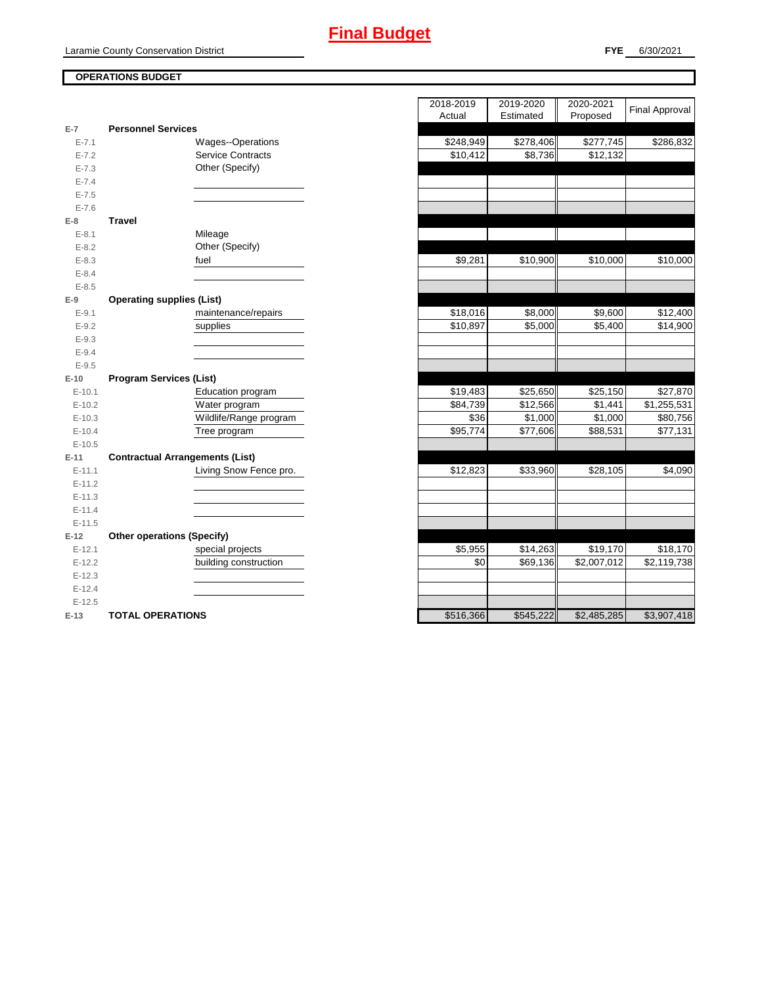## **OPERATIONS BUDGET**

| $E-7$      | <b>Personnel Services</b>              |                      |           |             |
|------------|----------------------------------------|----------------------|-----------|-------------|
| $E - 7.1$  | Wages--Operations                      | \$248,949            | \$278,406 | \$277,745   |
| $E - 7.2$  | <b>Service Contracts</b>               | \$10,412             | \$8,736   | \$12,132    |
| $E - 7.3$  | Other (Specify)                        |                      |           |             |
| $E - 7.4$  |                                        |                      |           |             |
| $E - 7.5$  |                                        |                      |           |             |
| $E - 7.6$  |                                        |                      |           |             |
| $E-8$      | <b>Travel</b>                          |                      |           |             |
| $E - 8.1$  | Mileage                                |                      |           |             |
| $E - 8.2$  | Other (Specify)                        |                      |           |             |
| $E - 8.3$  | fuel                                   | \$9,281              | \$10,900  | \$10,000    |
| $E - 8.4$  |                                        |                      |           |             |
| $E - 8.5$  |                                        |                      |           |             |
| $E-9$      | <b>Operating supplies (List)</b>       |                      |           |             |
| $E-9.1$    | maintenance/repairs                    | \$18,016             | \$8,000   | \$9,600     |
| $E-9.2$    | supplies                               | \$10,897             | \$5,000   | \$5,400     |
| $E - 9.3$  |                                        |                      |           |             |
| $E - 9.4$  |                                        |                      |           |             |
| $E - 9.5$  |                                        |                      |           |             |
| $E-10$     | <b>Program Services (List)</b>         |                      |           |             |
| $E-10.1$   | Education program                      | $\overline{$}19,483$ | \$25,650  | \$25,150    |
| $E-10.2$   | Water program                          | \$84,739             | \$12,566  | \$1,441     |
| $E-10.3$   | Wildlife/Range program                 | \$36                 | \$1,000   | \$1,000     |
| $E-10.4$   | Tree program                           | \$95,774             | \$77,606  | \$88,531    |
| $E-10.5$   |                                        |                      |           |             |
| $E-11$     | <b>Contractual Arrangements (List)</b> |                      |           |             |
| $E-11.1$   | Living Snow Fence pro.                 | \$12,823             | \$33,960  | \$28,105    |
| $E-11.2$   |                                        |                      |           |             |
| $E - 11.3$ |                                        |                      |           |             |
| $E-11.4$   |                                        |                      |           |             |
| $E-11.5$   |                                        |                      |           |             |
| $E-12$     | <b>Other operations (Specify)</b>      |                      |           |             |
| $E-12.1$   | special projects                       | \$5,955              | \$14,263  | \$19,170    |
| $E-12.2$   | building construction                  | \$0                  | \$69,136  | \$2,007,012 |
| $E-12.3$   |                                        |                      |           |             |
| $E-12.4$   |                                        |                      |           |             |
| $E-12.5$   |                                        |                      |           |             |
| $E-13$     | <b>TOTAL OPERATIONS</b>                | \$516,366            | \$545,222 | \$2,485,285 |

|                |                                        | 2018-2019            | 2019-2020 | 2020-2021   | <b>Final Approval</b> |
|----------------|----------------------------------------|----------------------|-----------|-------------|-----------------------|
| $\overline{7}$ | <b>Personnel Services</b>              | Actual               | Estimated | Proposed    |                       |
| $E - 7.1$      | Wages--Operations                      | \$248,949            | \$278,406 | \$277,745   | \$286,832             |
| $E - 7.2$      | <b>Service Contracts</b>               | $\overline{$}10,412$ | \$8,736   | \$12,132    |                       |
| $E - 7.3$      | Other (Specify)                        |                      |           |             |                       |
| $E - 7.4$      |                                        |                      |           |             |                       |
| $E - 7.5$      |                                        |                      |           |             |                       |
| $E - 7.6$      |                                        |                      |           |             |                       |
| 8              | <b>Travel</b>                          |                      |           |             |                       |
| $E-8.1$        | Mileage                                |                      |           |             |                       |
| $E - 8.2$      | Other (Specify)                        |                      |           |             |                       |
| $E - 8.3$      | fuel                                   | \$9,281              | \$10,900  | \$10,000    | \$10,000              |
| $E - 8.4$      |                                        |                      |           |             |                       |
| $E - 8.5$      |                                        |                      |           |             |                       |
| 9              | <b>Operating supplies (List)</b>       |                      |           |             |                       |
| $E - 9.1$      | maintenance/repairs                    | \$18,016             | \$8,000   | \$9,600     | \$12,400              |
| $E-9.2$        | supplies                               | \$10,897             | \$5,000   | \$5,400     | \$14,900              |
| $E - 9.3$      |                                        |                      |           |             |                       |
| $E - 9.4$      |                                        |                      |           |             |                       |
| $E - 9.5$      |                                        |                      |           |             |                       |
| 10             | <b>Program Services (List)</b>         |                      |           |             |                       |
| $E-10.1$       | Education program                      | \$19,483             | \$25,650  | \$25,150    | \$27,870              |
| $E-10.2$       | Water program                          | \$84,739             | \$12,566  | \$1,441     | \$1,255,531           |
| $E-10.3$       | Wildlife/Range program                 | \$36                 | \$1,000   | \$1,000     | \$80,756              |
| $E-10.4$       | Tree program                           | \$95,774             | \$77,606  | \$88,531    | \$77,131              |
| $E-10.5$       |                                        |                      |           |             |                       |
| $-11$          | <b>Contractual Arrangements (List)</b> |                      |           |             |                       |
| $E-11.1$       | Living Snow Fence pro.                 | \$12,823             | \$33,960  | \$28,105    | \$4,090               |
| $E-11.2$       |                                        |                      |           |             |                       |
| $E-11.3$       |                                        |                      |           |             |                       |
| $E-11.4$       |                                        |                      |           |             |                       |
| $E-11.5$       |                                        |                      |           |             |                       |
| 12             | <b>Other operations (Specify)</b>      |                      |           |             |                       |
| $E-12.1$       | special projects                       | \$5,955              | \$14,263  | \$19,170    | \$18,170              |
| $E-12.2$       | building construction                  | \$0                  | \$69,136  | \$2,007,012 | \$2,119,738           |
| $E-12.3$       |                                        |                      |           |             |                       |
| $E-12.4$       |                                        |                      |           |             |                       |
| $E-12.5$       |                                        |                      |           |             |                       |
| $-13$          | <b>TOTAL OPERATIONS</b>                | \$516,366            | \$545,222 | \$2,485,285 | \$3,907,418           |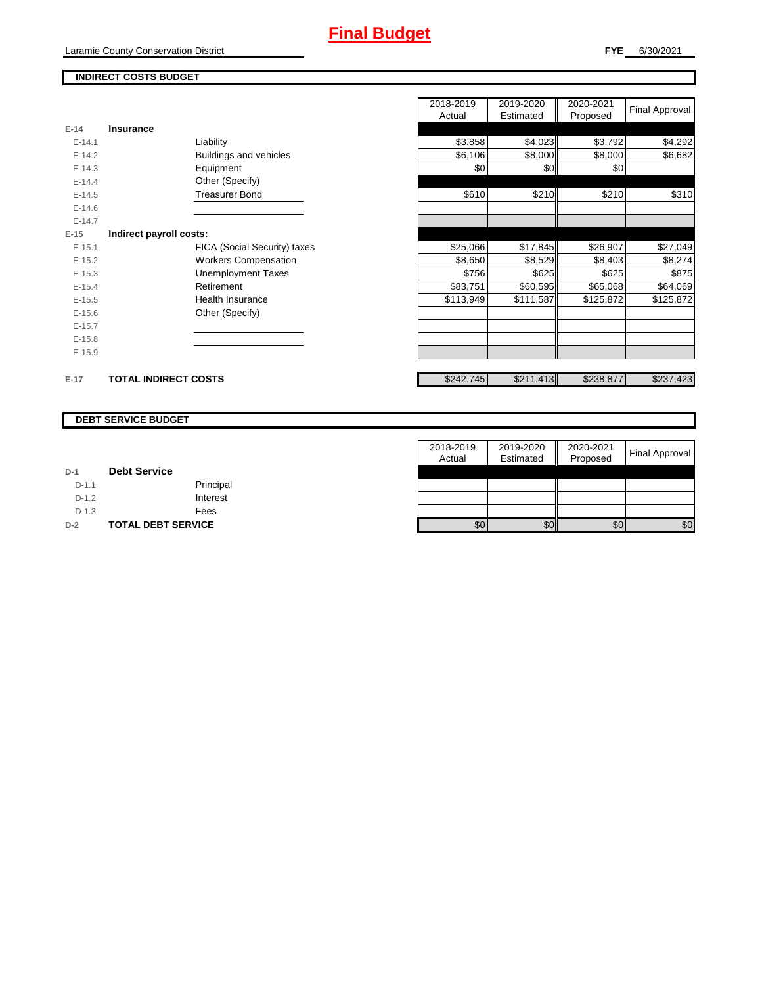Laramie County Conservation District

## **INDIRECT COSTS BUDGET**

|          |                              | 2018-2019<br>Actual | 2019-2020<br>Estimated | 2020-2021<br>Proposed | <b>Final Approval</b> |
|----------|------------------------------|---------------------|------------------------|-----------------------|-----------------------|
| E-14     | Insurance                    |                     |                        |                       |                       |
| $E-14.1$ | Liability                    | \$3,858             | \$4,023                | \$3,792               | \$4,292               |
| $E-14.2$ | Buildings and vehicles       | \$6,106             | \$8,000                | \$8,000               | \$6,682               |
| $E-14.3$ | Equipment                    | \$0                 | \$0                    | \$0                   |                       |
| $E-14.4$ | Other (Specify)              |                     |                        |                       |                       |
| $E-14.5$ | <b>Treasurer Bond</b>        | \$610               | \$210                  | \$210                 | \$310                 |
| $E-14.6$ |                              |                     |                        |                       |                       |
| $E-14.7$ |                              |                     |                        |                       |                       |
| $E-15$   | Indirect payroll costs:      |                     |                        |                       |                       |
| $E-15.1$ | FICA (Social Security) taxes | \$25,066            | \$17,845               | \$26,907              | \$27,049              |
| $E-15.2$ | <b>Workers Compensation</b>  | \$8,650             | \$8,529                | \$8,403               | \$8,274               |
| $E-15.3$ | <b>Unemployment Taxes</b>    | \$756               | \$625                  | \$625                 | \$875                 |
| $E-15.4$ | Retirement                   | \$83,751            | \$60,595               | \$65,068              | \$64,069              |
| $E-15.5$ | <b>Health Insurance</b>      | \$113,949           | \$111,587              | \$125,872             | \$125,872             |
| $E-15.6$ | Other (Specify)              |                     |                        |                       |                       |
| $E-15.7$ |                              |                     |                        |                       |                       |
| $E-15.8$ |                              |                     |                        |                       |                       |
| $E-15.9$ |                              |                     |                        |                       |                       |
| $E-17$   | <b>TOTAL INDIRECT COSTS</b>  | \$242,745           | \$211,413              | \$238,877             | \$237,423             |

### **DEBT SERVICE BUDGET**

|         |                           | 2018-2019 | 2019-2020 | 2020-2021 | <b>Final Approval</b> |
|---------|---------------------------|-----------|-----------|-----------|-----------------------|
|         |                           | Actual    | Estimated | Proposed  |                       |
| $D-1$   | <b>Debt Service</b>       |           |           |           |                       |
| $D-1.1$ | Principal                 |           |           |           |                       |
| $D-1.2$ | Interest                  |           |           |           |                       |
| $D-1.3$ | Fees                      |           |           |           |                       |
| $D-2$   | <b>TOTAL DEBT SERVICE</b> | \$0       | \$0       | \$0       | \$0                   |